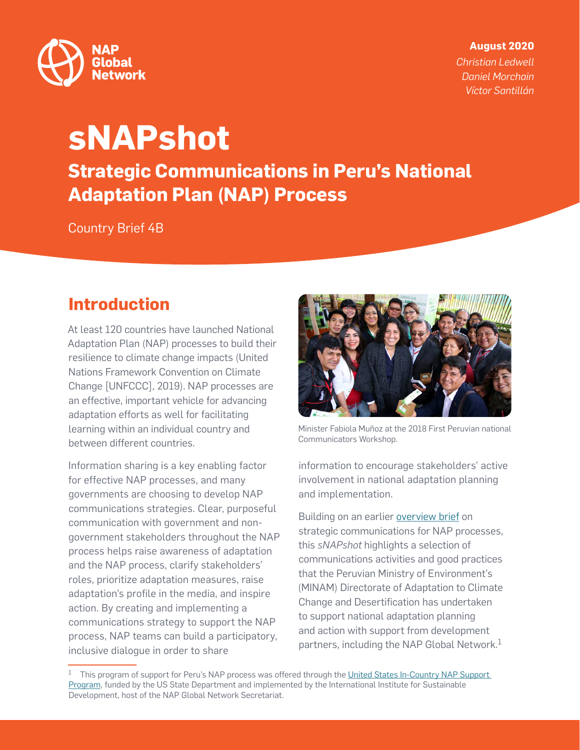

#### **August 2020**

*Christian Ledwell Daniel Morchain Víctor Santillán*

# **sNAPshot Strategic Communications in Peru's National Adaptation Plan (NAP) Process**

Country Brief 4B

## **Introduction**

At least 120 countries have launched National Adaptation Plan (NAP) processes to build their resilience to climate change impacts (United Nations Framework Convention on Climate Change [UNFCCC], 2019). NAP processes are an effective, important vehicle for advancing adaptation efforts as well for facilitating learning within an individual country and between different countries.

Information sharing is a key enabling factor for effective NAP processes, and many governments are choosing to develop NAP communications strategies. Clear, purposeful communication with government and nongovernment stakeholders throughout the NAP process helps raise awareness of adaptation and the NAP process, clarify stakeholders' roles, prioritize adaptation measures, raise adaptation's profile in the media, and inspire action. By creating and implementing a communications strategy to support the NAP process, NAP teams can build a participatory, inclusive dialogue in order to share



Minister Fabiola Muñoz at the 2018 First Peruvian national Communicators Workshop.

information to encourage stakeholders' active involvement in national adaptation planning and implementation.

Building on an earlier [overview brief](http://napglobalnetwork.org/resource/snapshot-strategic-communications-national-adaptation-plan-nap-processes/) on strategic communications for NAP processes, this *sNAPshot* highlights a selection of communications activities and good practices that the Peruvian Ministry of Environment's (MINAM) Directorate of Adaptation to Climate Change and Desertification has undertaken to support national adaptation planning and action with support from development partners, including the NAP Global Network.<sup>1</sup>

<sup>&</sup>lt;sup>1</sup> This program of support for Peru's NAP process was offered through the United States In-Country NAP Support [Program](http://napglobalnetwork.org/in-country-support-program/peru/), funded by the US State Department and implemented by the International Institute for Sustainable Development, host of the NAP Global Network Secretariat.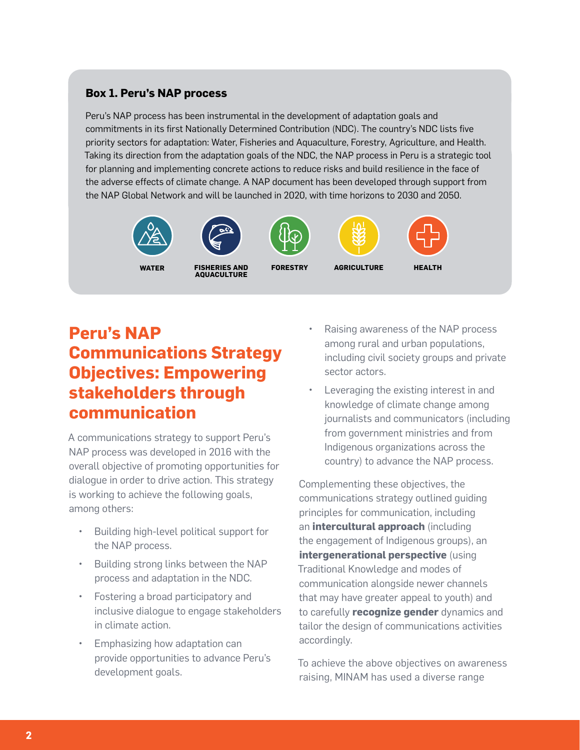#### **Box 1. Peru's NAP process**

Peru's NAP process has been instrumental in the development of adaptation goals and commitments in its first Nationally Determined Contribution (NDC). The country's NDC lists five priority sectors for adaptation: Water, Fisheries and Aquaculture, Forestry, Agriculture, and Health. Taking its direction from the adaptation goals of the NDC, the NAP process in Peru is a strategic tool for planning and implementing concrete actions to reduce risks and build resilience in the face of the adverse effects of climate change. A NAP document has been developed through support from the NAP Global Network and will be launched in 2020, with time horizons to 2030 and 2050.







**WATER FISHERIES AND AQUACULTURE**







**FORESTRY AGRICULTURE HEALTH**

#### **Peru's NAP Communications Strategy Objectives: Empowering stakeholders through communication**

A communications strategy to support Peru's NAP process was developed in 2016 with the overall objective of promoting opportunities for dialogue in order to drive action. This strategy is working to achieve the following goals, among others:

- Building high-level political support for the NAP process.
- Building strong links between the NAP process and adaptation in the NDC.
- Fostering a broad participatory and inclusive dialogue to engage stakeholders in climate action.
- Emphasizing how adaptation can provide opportunities to advance Peru's development goals.
- Raising awareness of the NAP process among rural and urban populations, including civil society groups and private sector actors.
- Leveraging the existing interest in and knowledge of climate change among journalists and communicators (including from government ministries and from Indigenous organizations across the country) to advance the NAP process.

Complementing these objectives, the communications strategy outlined guiding principles for communication, including an **intercultural approach** (including the engagement of Indigenous groups), an **intergenerational perspective** (using Traditional Knowledge and modes of communication alongside newer channels that may have greater appeal to youth) and to carefully **recognize gender** dynamics and tailor the design of communications activities accordingly.

To achieve the above objectives on awareness raising, MINAM has used a diverse range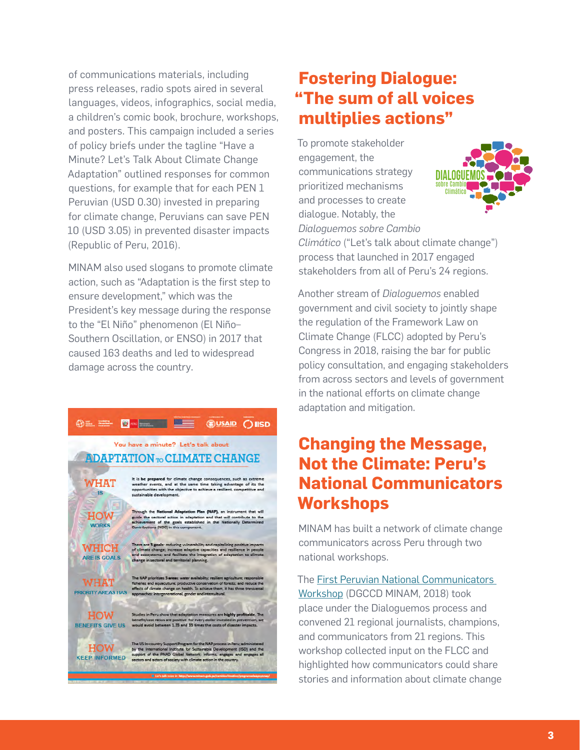of communications materials, including press releases, radio spots aired in several languages, videos, infographics, social media, a children's comic book, brochure, workshops, and posters. This campaign included a series of policy briefs under the tagline "Have a Minute? Let's Talk About Climate Change Adaptation" outlined responses for common questions, for example that for each PEN 1 Peruvian (USD 0.30) invested in preparing for climate change, Peruvians can save PEN 10 (USD 3.05) in prevented disaster impacts (Republic of Peru, 2016).

MINAM also used slogans to promote climate action, such as "Adaptation is the first step to ensure development," which was the President's key message during the response to the "El Niño" phenomenon (El Niño– Southern Oscillation, or ENSO) in 2017 that caused 163 deaths and led to widespread damage across the country.



### **Fostering Dialogue: "The sum of all voices multiplies actions"**

To promote stakeholder engagement, the communications strategy prioritized mechanisms and processes to create dialogue. Notably, the *Dialoguemos sobre Cambio* 



*Climático* ("Let's talk about climate change") process that launched in 2017 engaged stakeholders from all of Peru's 24 regions.

Another stream of *Dialoguemos* enabled government and civil society to jointly shape the regulation of the Framework Law on Climate Change (FLCC) adopted by Peru's Congress in 2018, raising the bar for public policy consultation, and engaging stakeholders from across sectors and levels of government in the national efforts on climate change adaptation and mitigation.

## **Changing the Message, Not the Climate: Peru's National Communicators Workshops**

MINAM has built a network of climate change communicators across Peru through two national workshops.

The [First Peruvian National Communicators](http://napglobalnetwork.org/resource/peruvian-national-communicators-workshop-report/)  [Workshop](http://napglobalnetwork.org/resource/peruvian-national-communicators-workshop-report/) (DGCCD MINAM, 2018) took place under the Dialoguemos process and convened 21 regional journalists, champions, and communicators from 21 regions. This workshop collected input on the FLCC and highlighted how communicators could share stories and information about climate change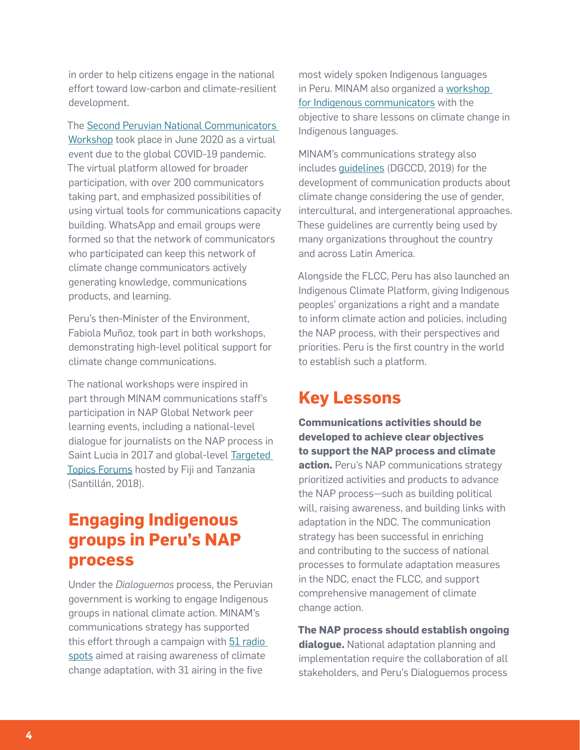in order to help citizens engage in the national effort toward low-carbon and climate-resilient development.

The [Second Peruvian National Communicators](https://www.gob.pe/institucion/minam/noticias/189605-minam-capacita-en-cambio-climatico-a-periodistas-y-comunicadores-de-todo-el-peru)  [Workshop](https://www.gob.pe/institucion/minam/noticias/189605-minam-capacita-en-cambio-climatico-a-periodistas-y-comunicadores-de-todo-el-peru) took place in June 2020 as a virtual event due to the global COVID-19 pandemic. The virtual platform allowed for broader participation, with over 200 communicators taking part, and emphasized possibilities of using virtual tools for communications capacity building. WhatsApp and email groups were formed so that the network of communicators who participated can keep this network of climate change communicators actively generating knowledge, communications products, and learning.

Peru's then-Minister of the Environment, Fabiola Muñoz, took part in both workshops, demonstrating high-level political support for climate change communications.

The national workshops were inspired in part through MINAM communications staff's participation in NAP Global Network peer learning events, including a national-level dialogue for journalists on the NAP process in Saint Lucia in 2017 and global-level [Targeted](https://drive.google.com/file/d/1S9NnwLEIRjjV4WIIgVclbyAwOC3Y8UKo/view?usp=sharing)  [Topics Forums](https://drive.google.com/file/d/1S9NnwLEIRjjV4WIIgVclbyAwOC3Y8UKo/view?usp=sharing) hosted by Fiji and Tanzania (Santillán, 2018).

### **Engaging Indigenous groups in Peru's NAP process**

Under the *Dialoguemos* process, the Peruvian government is working to engage Indigenous groups in national climate action. MINAM's communications strategy has supported this effort through a campaign with [51 radio](https://drive.google.com/drive/folders/1suAuLeJgKZD0neene4gg0BDCQYHpbhTf?usp=sharing)  [spots](https://drive.google.com/drive/folders/1suAuLeJgKZD0neene4gg0BDCQYHpbhTf?usp=sharing) aimed at raising awareness of climate change adaptation, with 31 airing in the five

most widely spoken Indigenous languages in Peru. MINAM also organized a [workshop](https://drive.google.com/file/d/1mCtQklTJUd_XVtFHgAiioCPhw9y0L8yB/view?usp=sharing)  [for Indigenous communicators](https://drive.google.com/file/d/1mCtQklTJUd_XVtFHgAiioCPhw9y0L8yB/view?usp=sharing) with the objective to share lessons on climate change in Indigenous languages.

MINAM's communications strategy also includes [guidelines](http://www.minam.gob.pe/cambioclimatico/wp-content/uploads/sites/127/2019/09/Pautas-comunicacionales.pdf) (DGCCD, 2019) for the development of communication products about climate change considering the use of gender, intercultural, and intergenerational approaches. These guidelines are currently being used by many organizations throughout the country and across Latin America.

Alongside the FLCC, Peru has also launched an Indigenous Climate Platform, giving Indigenous peoples' organizations a right and a mandate to inform climate action and policies, including the NAP process, with their perspectives and priorities. Peru is the first country in the world to establish such a platform.

#### **Key Lessons**

**Communications activities should be developed to achieve clear objectives to support the NAP process and climate action.** Peru's NAP communications strategy prioritized activities and products to advance the NAP process—such as building political will, raising awareness, and building links with adaptation in the NDC. The communication strategy has been successful in enriching and contributing to the success of national processes to formulate adaptation measures in the NDC, enact the FLCC, and support comprehensive management of climate change action.

**The NAP process should establish ongoing dialogue.** National adaptation planning and implementation require the collaboration of all stakeholders, and Peru's Dialoguemos process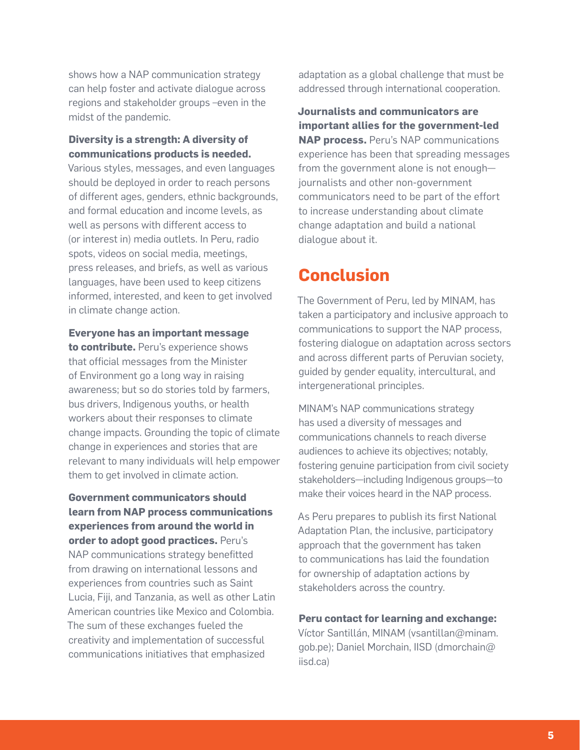shows how a NAP communication strategy can help foster and activate dialogue across regions and stakeholder groups –even in the midst of the pandemic.

#### **Diversity is a strength: A diversity of communications products is needed.**

Various styles, messages, and even languages should be deployed in order to reach persons of different ages, genders, ethnic backgrounds, and formal education and income levels, as well as persons with different access to (or interest in) media outlets. In Peru, radio spots, videos on social media, meetings, press releases, and briefs, as well as various languages, have been used to keep citizens informed, interested, and keen to get involved in climate change action.

**Everyone has an important message to contribute.** Peru's experience shows that official messages from the Minister of Environment go a long way in raising awareness; but so do stories told by farmers, bus drivers, Indigenous youths, or health workers about their responses to climate change impacts. Grounding the topic of climate change in experiences and stories that are relevant to many individuals will help empower them to get involved in climate action.

**Government communicators should learn from NAP process communications experiences from around the world in order to adopt good practices.** Peru's NAP communications strategy benefitted from drawing on international lessons and experiences from countries such as Saint Lucia, Fiji, and Tanzania, as well as other Latin American countries like Mexico and Colombia. The sum of these exchanges fueled the creativity and implementation of successful communications initiatives that emphasized

adaptation as a global challenge that must be addressed through international cooperation.

**Journalists and communicators are important allies for the government-led NAP process.** Peru's NAP communications experience has been that spreading messages from the government alone is not enough journalists and other non-government communicators need to be part of the effort to increase understanding about climate change adaptation and build a national dialogue about it.

#### **Conclusion**

The Government of Peru, led by MINAM, has taken a participatory and inclusive approach to communications to support the NAP process, fostering dialogue on adaptation across sectors and across different parts of Peruvian society, guided by gender equality, intercultural, and intergenerational principles.

MINAM's NAP communications strategy has used a diversity of messages and communications channels to reach diverse audiences to achieve its objectives; notably, fostering genuine participation from civil society stakeholders—including Indigenous groups—to make their voices heard in the NAP process.

As Peru prepares to publish its first National Adaptation Plan, the inclusive, participatory approach that the government has taken to communications has laid the foundation for ownership of adaptation actions by stakeholders across the country.

#### **Peru contact for learning and exchange:**

Víctor Santillán, MINAM (vsantillan@minam. gob.pe); Daniel Morchain, IISD (dmorchain@ iisd.ca)